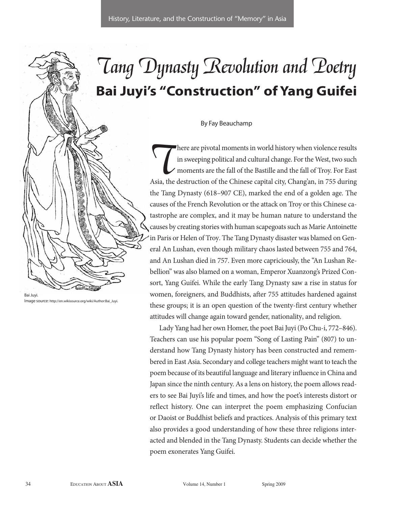# *Tang Dynasty Revolution and Poetry* **Bai Juyi's "Construction" of Yang Guifei**

By Fay Beauchamp

There are pivotal moments in world history when violence results<br>in sweeping political and cultural change. For the West, two such<br>moments are the fall of the Bastille and the fall of Troy. For East<br>Asia, the destruction o in sweeping political and cultural change. For the West, two such moments are the fall of the Bastille and the fall of Troy. For East Asia, the destruction of the Chinese capital city, Chang'an, in 755 during the Tang Dynasty (618–907 CE), marked the end of a golden age. The causes of the French Revolution or the attack on Troy or this Chinese catastrophe are complex, and it may be human nature to understand the causes by creating stories with human scapegoats such as Marie Antoinette in Paris or Helen of Troy. The Tang Dynasty disaster was blamed on General An Lushan, even though military chaos lasted between 755 and 764, and An Lushan died in 757. Even more capriciously, the "An Lushan Rebellion" was also blamed on a woman, Emperor Xuanzong's Prized Consort, Yang Guifei. While the early Tang Dynasty saw a rise in status for women, foreigners, and Buddhists, after 755 attitudes hardened against these groups; it is an open question of the twenty-first century whether attitudes will change again toward gender, nationality, and religion.

Lady Yang had her own Homer, the poet Bai Juyi (Po Chu-i, 772–846). Teachers can use his popular poem "Song of Lasting Pain" (807) to understand how Tang Dynasty history has been constructed and remembered in East Asia. Secondary and college teachers might want to teach the poem because of its beautiful language and literary influence in China and Japan since the ninth century. As a lens on history, the poem allows readers to see Bai Juyi's life and times, and how the poet's interests distort or reflect history. One can interpret the poem emphasizing Confucian or Daoist or Buddhist beliefs and practices. Analysis of this primary text also provides a good understanding of how these three religions interacted and blended in the Tang Dynasty. Students can decide whether the poem exonerates Yang Guifei.

Bai Juyi. Image source: http://en.wikisource.org/wiki/Author:Bai\_Juyi.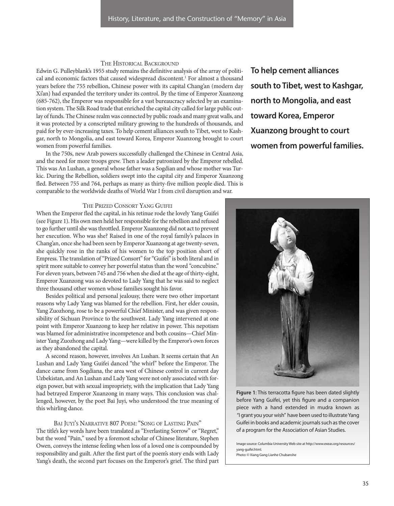#### THE HISTORICAL BACKGROUND

Edwin G. Pulleyblank's 1955 study remains the definitive analysis of the array of political and economic factors that caused widespread discontent.<sup>1</sup> For almost a thousand years before the 755 rebellion, Chinese power with its capital Chang'an (modern day Xi'an) had expanded the territory under its control. By the time of Emperor Xuanzong (685-762), the Emperor was responsible for a vast bureaucracy selected by an examination system. The Silk Road trade that enriched the capital city called for large public outlay of funds. The Chinese realm was connected by public roads and many great walls, and it was protected by a conscripted military growing to the hundreds of thousands, and paid for by ever-increasing taxes. To help cement alliances south to Tibet, west to Kashgar, north to Mongolia, and east toward Korea, Emperor Xuanzong brought to court women from powerful families.

In the 750s, new Arab powers successfully challenged the Chinese in Central Asia, and the need for more troops grew. Then a leader patronized by the Emperor rebelled. This was An Lushan, a general whose father was a Sogdian and whose mother was Turkic. During the Rebellion, soldiers swept into the capital city and Emperor Xuanzong fled. Between 755 and 764, perhaps as many as thirty-five million people died. This is comparable to the worldwide deaths of World War I from civil disruption and war.

**To help cement alliances south to Tibet, west to Kashgar, north to Mongolia, and east toward Korea, emperor xuanzong brought to court women from powerful families.**

#### THE PRIZED CONSORT YANG GUIFEI

When the Emperor fled the capital, in his retinue rode the lovely Yang Guifei (see Figure 1). His own men held her responsible for the rebellion and refused to go further until she was throttled. Emperor Xuanzong did not act to prevent her execution. Who was she? Raised in one of the royal family's palaces in Chang'an, once she had been seen by Emperor Xuanzong at age twenty-seven, she quickly rose in the ranks of his women to the top position short of Empress. The translation of "Prized Consort" for "Guifei" is both literal and in spirit more suitable to convey her powerful status than the word "concubine." For eleven years, between 745 and 756 when she died at the age of thirty-eight, Emperor Xuanzong was so devoted to Lady Yang that he was said to neglect three thousand other women whose families sought his favor.

Besides political and personal jealousy, there were two other important reasons why Lady Yang was blamed for the rebellion. First, her elder cousin, Yang Zuozhong, rose to be a powerful Chief Minister, and was given responsibility of Sichuan Province to the southwest. Lady Yang intervened at one point with Emperor Xuanzong to keep her relative in power. This nepotism was blamed for administrative incompetence and both cousins—Chief Minister Yang Zuozhong and Lady Yang—were killed by the Emperor's own forces as they abandoned the capital.

A second reason, however, involves An Lushan. It seems certain that An Lushan and Lady Yang Guifei danced "the whirl" before the Emperor. The dance came from Sogdiana, the area west of Chinese control in current day Uzbekistan, and An Lushan and Lady Yang were not only associated with foreign power, but with sexual impropriety, with the implication that Lady Yang had betrayed Emperor Xuanzong in many ways. This conclusion was challenged, however, by the poet Bai Juyi, who understood the true meaning of this whirling dance.

#### BAI JUYI'S NARRATIVE 807 POEM: "SONG OF LASTING PAIN"

The title's key words have been translated as "Everlasting Sorrow" or "Regret," but the word "Pain," used by a foremost scholar of Chinese literature, Stephen Owen, conveys the intense feeling when loss of a loved one is compounded by responsibility and guilt. After the first part of the poem's story ends with Lady Yang's death, the second part focuses on the Emperor's grief. The third part



**Figure 1**: This terracotta figure has been dated slightly before Yang Guifei, yet this figure and a companion piece with a hand extended in mudra known as "I grant you your wish" have been used to illustrate Yang Guifei in books and academic journals such as the cover of a program for the Association of Asian Studies.

Image source: Columbia University Web site at http://www.exeas.org/resources/ yang-guifei.html. Photo: © Xiang Gang Lianhe Chubanshe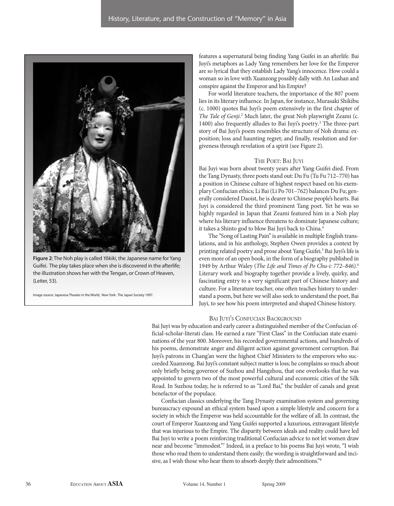

**Figure 2**: The Noh play is called Yôkiki, the Japanese name for Yang Guifei. The play takes place when she is discovered in the afterlife; the illustration shows her with the Tengan, or Crown of Heaven, (Leiter, 53).

Image source: Japanese Theater in the World, New York: The Japan Society 1997.

features a supernatural being finding Yang Guifei in an afterlife. Bai Juyi's metaphors as Lady Yang remembers her love for the Emperor are so lyrical that they establish Lady Yang's innocence. How could a woman so in love with Xuanzong possibly dally with An Lushan and conspire against the Emperor and his Empire?

For world literature teachers, the importance of the 807 poem lies in its literary influence. In Japan, for instance, Murasaki Shikibu (c. 1000) quotes Bai Juyi's poem extensively in the first chapter of The Tale of Genji.<sup>2</sup> Much later, the great Noh playwright Zeami (c. 1400) also frequently alludes to Bai Juyi's poetry.<sup>3</sup> The three-part story of Bai Juyi's poem resembles the structure of Noh drama: exposition; loss and haunting regret; and finally, resolution and forgiveness through revelation of a spirit (see Figure 2).

#### THE POET: BAI JUYI

Bai Juyi was born about twenty years after Yang Guifei died. From the Tang Dynasty, three poets stand out: Du Fu (Tu Fu 712–770) has a position in Chinese culture of highest respect based on his exemplary Confucian ethics; Li Bai (Li Po 701–762) balances Du Fu; generally considered Daoist, he is dearer to Chinese people's hearts. Bai Juyi is considered the third prominent Tang poet. Yet he was so highly regarded in Japan that Zeami featured him in a Noh play where his literary influence threatens to dominate Japanese culture; it takes a Shinto god to blow Bai Juyi back to China.4

The "Song of Lasting Pain" is available in multiple English translations, and in his anthology, Stephen Owen provides a context by printing related poetry and prose about Yang Guifei.5 Bai Juyi's life is even more of an open book, in the form of a biography published in 1949 by Arthur Waley (The Life and Times of Po Chu-i: 772-846).<sup>6</sup> Literary work and biography together provide a lively, quirky, and fascinating entry to a very significant part of Chinese history and culture. For a literature teacher, one often teaches history to understand a poem, but here we will also seek to understand the poet, Bai Juyi, to see how his poem interpreted and shaped Chinese history.

#### BAI JUYI'S CONFUCIAN BACKGROUND

Bai Juyi was by education and early career a distinguished member of the Confucian official-scholar-literati class. He earned a rare "First Class" in the Confucian state examinations of the year 800. Moreover, his recorded governmental actions, and hundreds of his poems, demonstrate anger and diligent action against government corruption. Bai Juyi's patrons in Chang'an were the highest Chief Ministers to the emperors who succeeded Xuanzong. Bai Juyi's constant subject matter is loss; he complains so much about only briefly being governor of Suzhou and Hangzhou, that one overlooks that he was appointed to govern two of the most powerful cultural and economic cities of the Silk Road. In Suzhou today, he is referred to as "Lord Bai," the builder of canals and great benefactor of the populace.

Confucian classics underlying the Tang Dynasty examination system and governing bureaucracy expound an ethical system based upon a simple lifestyle and concern for a society in which the Emperor was held accountable for the welfare of all. In contrast, the court of Emperor Xuanzong and Yang Guifei supported a luxurious, extravagant lifestyle that was injurious to the Empire. The disparity between ideals and reality could have led Bai Juyi to write a poem reinforcing traditional Confucian advice to not let women draw near and become "immodest."7 Indeed, in a preface to his poems Bai Juyi wrote, "I wish those who read them to understand them easily; the wording is straightforward and incisive, as I wish those who hear them to absorb deeply their admonitions."8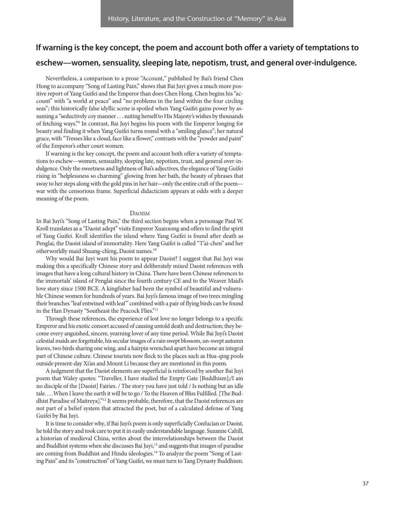## **if warning is the key concept, the poem and account both offer a variety of temptations to**

### **eschew—women, sensuality, sleeping late, nepotism, trust, and general over-indulgence.**

Nevertheless, a comparison to a prose "Account," published by Bai's friend Chen Hong to accompany "Song of Lasting Pain," shows that Bai Juyi gives a much more positive report of Yang Guifei and the Emperor than does Chen Hong. Chen begins his "account" with "a world at peace" and "no problems in the land within the four circling seas"; this historically false idyllic scene is spoiled when Yang Guifei gains power by assuming a "seductively coy manner . . . suiting herself to His Majesty's wishes by thousands of fetching ways."9 In contrast, Bai Juyi begins his poem with the Emperor longing for beauty and finding it when Yang Guifei turns round with a "smiling glance"; her natural grace, with "Tresses like a cloud, face like a flower," contrasts with the "powder and paint" of the Emperor's other court women.

If warning is the key concept, the poem and account both offer a variety of temptations to eschew—women, sensuality, sleeping late, nepotism, trust, and general over-indulgence. Only the sweetness and lightness of Bai's adjectives, the elegance of Yang Guifei rising in "helplessness so charming" glowing from her bath, the beauty of phrases that sway to her steps along with the gold pins in her hair—only the entire craft of the poem war with the censorious frame. Superficial didacticism appears at odds with a deeper meaning of the poem.

#### DAOISM

In Bai Juyi's "Song of Lasting Pain," the third section begins when a personage Paul W. Kroll translates as a "Daoist adept" visits Emperor Xuanxong and offers to find the spirit of Yang Guifei. Kroll identifies the island where Yang Guifei is found after death as Penglai, the Daoist island of immortality. Here Yang Guifei is called "T'ai-chen" and her otherworldly maid Shuang-ch'eng, Daoist names.10

Why would Bai Juyi want his poem to appear Daoist? I suggest that Bai Juyi was making this a specifically Chinese story and deliberately mixed Daoist references with images that have a long cultural history in China. There have been Chinese references to the immortals' island of Penglai since the fourth century CE and to the Weaver Maid's love story since 1500 BCE. A kingfisher had been the symbol of beautiful and vulnerable Chinese women for hundreds of years. Bai Juyi's famous image of two trees mingling their branches "leaf entwined with leaf" combined with a pair of flying birds can be found in the Han Dynasty "Southeast the Peacock Flies."<sup>11</sup>

Through these references, the experience of lost love no longer belongs to a specific Emperor and his exotic consort accused of causing untold death and destruction; they become every anguished, sincere, yearning lover of any time period. While Bai Juyi's Daoist celestial maids are forgettable, his secular images of a rain swept blossom, un-swept autumn leaves, two birds sharing one wing, and a hairpin wrenched apart have become an integral part of Chinese culture. Chinese tourists now flock to the places such as Hua-qing pools outside present-day Xi'an and Mount Li because they are mentioned in this poem.

A judgment that the Daoist elements are superficial is reinforced by another Bai Juyi poem that Waley quotes: "Traveller, I have studied the Empty Gate [Buddhism];/I am no disciple of the [Daoist] Fairies. / The story you have just told / Is nothing but an idle tale. . . .When I leave the earth it will be to go / To the Heaven of Bliss Fulfilled. [The Buddhist Paradise of Maitreya]."12 It seems probable, therefore, that the Daoist references are not part of a belief system that attracted the poet, but of a calculated defense of Yang Guifei by Bai Juyi.

It is time to consider why, if Bai Juyi's poem is only superficially Confucian or Daoist, he told the story and took care to put it in easily understandable language. Suzanne Cahill, a historian of medieval China, writes about the interrelationships between the Daoist and Buddhist systems when she discusses Bai Juyi,<sup>13</sup> and suggests that images of paradise are coming from Buddhist and Hindu ideologies.14 To analyze the poem "Song of Lasting Pain" and its "construction" of Yang Guifei, we must turn to Tang Dynasty Buddhism.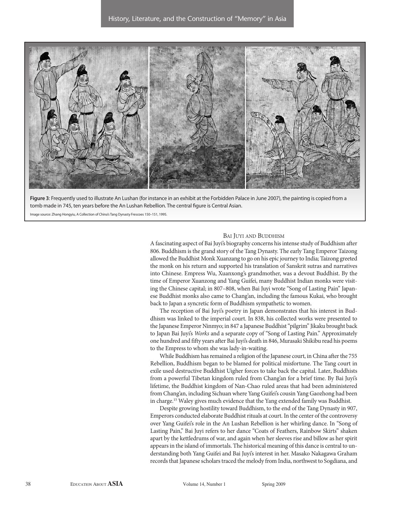

**Figure 3**: Frequently used to illustrate An Lushan (for instance in an exhibit at the Forbidden Palace in June 2007), the painting is copied from a tomb made in 745, ten years before the An Lushan Rebellion. The central figure is Central Asian.

Image source: Zhang Hongyiu, A Collection of China's Tang Dynasty Frescoes 150–151, 1995.

#### BAI JUYI AND BUDDHISM

A fascinating aspect of Bai Juyi's biography concerns his intense study of Buddhism after 806. Buddhism is the grand story of the Tang Dynasty. The early Tang Emperor Taizong allowed the Buddhist Monk Xuanzang to go on his epic journey to India; Taizong greeted the monk on his return and supported his translation of Sanskrit sutras and narratives into Chinese. Empress Wu, Xuanxong's grandmother, was a devout Buddhist. By the time of Emperor Xuanzong and Yang Guifei, many Buddhist Indian monks were visiting the Chinese capital; in 807–808, when Bai Juyi wrote "Song of Lasting Pain" Japanese Buddhist monks also came to Chang'an, including the famous Kukai, who brought back to Japan a syncretic form of Buddhism sympathetic to women.

The reception of Bai Juyi's poetry in Japan demonstrates that his interest in Buddhism was linked to the imperial court. In 838, his collected works were presented to the Japanese Emperor Ninmyo; in 847 a Japanese Buddhist "pilgrim" Jikaku brought back to Japan Bai Juyi's Works and a separate copy of "Song of Lasting Pain." Approximately one hundred and fifty years after Bai Juyi's death in 846, Murasaki Shikibu read his poems to the Empress to whom she was lady-in-waiting.

While Buddhism has remained a religion of the Japanese court, in China after the 755 Rebellion, Buddhism began to be blamed for political misfortune. The Tang court in exile used destructive Buddhist Uigher forces to take back the capital. Later, Buddhists from a powerful Tibetan kingdom ruled from Chang'an for a brief time. By Bai Juyi's lifetime, the Buddhist kingdom of Nan-Chao ruled areas that had been administered from Chang'an, including Sichuan where Yang Guifei's cousin Yang Gaozhong had been in charge.15 Waley gives much evidence that the Yang extended family was Buddhist.

Despite growing hostility toward Buddhism, to the end of the Tang Dynasty in 907, Emperors conducted elaborate Buddhist rituals at court. In the center of the controversy over Yang Guifei's role in the An Lushan Rebellion is her whirling dance. In "Song of Lasting Pain," Bai Juyi refers to her dance "Coats of Feathers, Rainbow Skirts" shaken apart by the kettledrums of war, and again when her sleeves rise and billow as her spirit appears in the island of immortals. The historical meaning of this dance is central to understanding both Yang Guifei and Bai Juyi's interest in her. Masako Nakagawa Graham records that Japanese scholars traced the melody from India, northwest to Sogdiana, and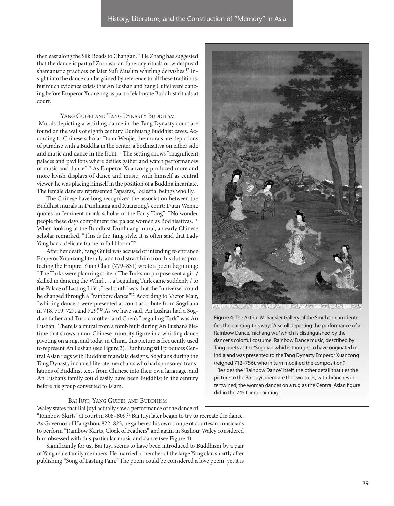then east along the Silk Roads to Chang'an.<sup>16</sup> He Zhang has suggested that the dance is part of Zoroastrian funerary rituals or widespread shamanistic practices or later Sufi Muslim whirling dervishes.<sup>17</sup> Insight into the dance can be gained by reference to all these traditions, but much evidence exists that An Lushan and Yang Guifei were dancing before Emperor Xuanzong as part of elaborate Buddhist rituals at court.

#### YANG GUIFEI AND TANG DYNASTY BUDDHISM

Murals depicting a whirling dance in the Tang Dynasty court are found on the walls of eighth century Dunhuang Buddhist caves. According to Chinese scholar Duan Wenjie, the murals are depictions of paradise with a Buddha in the center, a bodhisattva on either side and music and dance in the front.<sup>18</sup> The setting shows "magnificent" palaces and pavilions where deities gather and watch performances of music and dance."19 As Emperor Xuanzong produced more and more lavish displays of dance and music, with himself as central viewer, he was placing himself in the position of a Buddha incarnate. The female dancers represented "apsaras," celestial beings who fly.

The Chinese have long recognized the association between the Buddhist murals in Dunhuang and Xuanzong's court: Duan Wenjie quotes an "eminent monk-scholar of the Early Tang": "No wonder people these days compliment the palace women as Bodhisattvas."20 When looking at the Buddhist Dunhuang mural, an early Chinese scholar remarked, "This is the Tang style. It is often said that Lady Yang had a delicate frame in full bloom."<sup>21</sup>

After her death, Yang Guifei was accused of intending to entrance Emperor Xuanzong literally, and to distract him from his duties protecting the Empire. Yuan Chen (779–831) wrote a poem beginning: "The Turks were planning strife, / The Turks on purpose sent a girl / skilled in dancing the Whirl . . . a beguiling Turk came suddenly / to the Palace of Lasting Life"; "real truth" was that the "universe" could be changed through a "rainbow dance."<sup>22</sup> According to Victor Mair, "whirling dancers were presented at court as tribute from Sogdiana in 718, 719, 727, and 729."<sup>23</sup> As we have said, An Lushan had a Sogdian father and Turkic mother, and Chen's "beguiling Turk" was An Lushan. There is a mural from a tomb built during An Lushan's lifetime that shows a non-Chinese minority figure in a whirling dance pivoting on a rug, and today in China, this picture is frequently used to represent An Lushan (see Figure 3). Dunhuang still produces Central Asian rugs with Buddhist mandala designs. Sogdians during the Tang Dynasty included literate merchants who had sponsored translations of Buddhist texts from Chinese into their own language, and An Lushan's family could easily have been Buddhist in the century before his group converted to Islam.

#### BAI JUYI, YANG GUIFEI, AND BUDDHISM

Waley states that Bai Juyi actually saw a performance of the dance of "Rainbow Skirts" at court in 808-809.<sup>24</sup> Bai Juyi later began to try to recreate the dance. As Governor of Hangzhou, 822–823, he gathered his own troupe of courtesan-musicians to perform "Rainbow Skirts, Cloak of Feathers" and again in Suzhou; Waley considered him obsessed with this particular music and dance (see Figure 4).

Significantly for us, Bai Juyi seems to have been introduced to Buddhism by a pair of Yang male family members. He married a member of the large Yang clan shortly after publishing "Song of Lasting Pain." The poem could be considered a love poem, yet it is



**Figure 4**: The Arthur M. Sackler Gallery of the Smithsonian identifies the painting this way: "A scroll depicting the performance of a Rainbow Dance, 'nichang wu,'which is distinguished by the dancer's colorful costume. Rainbow Dance music, described by Tang poets as the 'Sogdian whirl is thought to have originated in India and was presented to the Tang Dynasty Emperor Xuanzong (reigned 712–756), who in turn modified the composition."

Besides the "Rainbow Dance"itself, the other detail that ties the picture to the Bai Juyi poem are the two trees, with branches intertwined; the woman dances on a rug as the Central Asian figure did in the 745 tomb painting.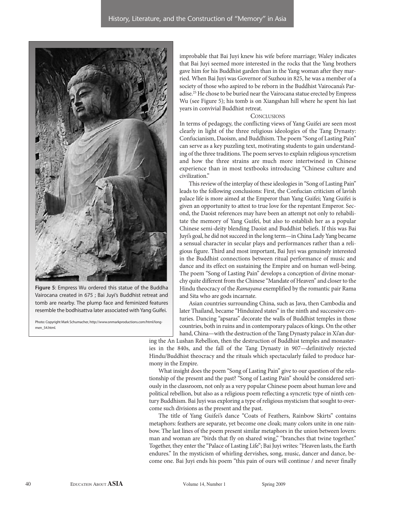

**Figure 5**: Empress Wu ordered this statue of the Buddha Vairocana created in 675 ; Bai Juyi's Buddhist retreat and tomb are nearby. The plump face and feminized features resemble the bodhisattva later associated with Yang Guifei.

Photo: Copyright Mark Schumacher, http://www.onmarkproductions.com/html/longmen\_54.html.

improbable that Bai Juyi knew his wife before marriage; Waley indicates that Bai Juyi seemed more interested in the rocks that the Yang brothers gave him for his Buddhist garden than in the Yang woman after they married. When Bai Juyi was Governor of Suzhou in 825, he was a member of a society of those who aspired to be reborn in the Buddhist Vairocana's Paradise.25 He chose to be buried near the Vairocana statue erected by Empress Wu (see Figure 5); his tomb is on Xiangshan hill where he spent his last years in convivial Buddhist retreat.

#### **CONCLUSIONS**

In terms of pedagogy, the conflicting views of Yang Guifei are seen most clearly in light of the three religious ideologies of the Tang Dynasty: Confucianism, Daoism, and Buddhism. The poem "Song of Lasting Pain" can serve as a key puzzling text, motivating students to gain understanding of the three traditions. The poem serves to explain religious syncretism and how the three strains are much more intertwined in Chinese experience than in most textbooks introducing "Chinese culture and civilization."

This review of the interplay of these ideologies in "Song of Lasting Pain" leads to the following conclusions: First, the Confucian criticism of lavish palace life is more aimed at the Emperor than Yang Guifei; Yang Guifei is given an opportunity to attest to true love for the repentant Emperor. Second, the Daoist references may have been an attempt not only to rehabilitate the memory of Yang Guifei, but also to establish her as a popular Chinese semi-deity blending Daoist and Buddhist beliefs. If this was Bai Juyi's goal, he did not succeed in the long term—in China Lady Yang became a sensual character in secular plays and performances rather than a religious figure. Third and most important, Bai Juyi was genuinely interested in the Buddhist connections between ritual performance of music and dance and its effect on sustaining the Empire and on human well-being. The poem "Song of Lasting Pain" develops a conception of divine monarchy quite different from the Chinese "Mandate of Heaven" and closer to the Hindu theocracy of the Ramayana exemplified by the romantic pair Rama and Sita who are gods incarnate.

Asian countries surrounding China, such as Java, then Cambodia and later Thailand, became "Hinduized states" in the ninth and successive centuries. Dancing "apsaras" decorate the walls of Buddhist temples in those countries, both in ruins and in contemporary palaces of kings. On the other hand, China—with the destruction of the Tang Dynasty palace in Xi'an dur-

ing the An Lushan Rebellion, then the destruction of Buddhist temples and monasteries in the 840s, and the fall of the Tang Dynasty in 907—definitively rejected Hindu/Buddhist theocracy and the rituals which spectacularly failed to produce harmony in the Empire.

What insight does the poem "Song of Lasting Pain" give to our question of the relationship of the present and the past? "Song of Lasting Pain" should be considered seriously in the classroom, not only as a very popular Chinese poem about human love and political rebellion, but also as a religious poem reflecting a syncretic type of ninth century Buddhism. Bai Juyi was exploring a type of religious mysticism that sought to overcome such divisions as the present and the past.

The title of Yang Guifei's dance "Coats of Feathers, Rainbow Skirts" contains metaphors: feathers are separate, yet become one cloak; many colors unite in one rainbow. The last lines of the poem present similar metaphors in the union between lovers: man and woman are "birds that fly on shared wing," "branches that twine together." Together, they enter the "Palace of Lasting Life"; Bai Juyi writes: "Heaven lasts, the Earth endures." In the mysticism of whirling dervishes, song, music, dancer and dance, become one. Bai Juyi ends his poem "this pain of ours will continue / and never finally